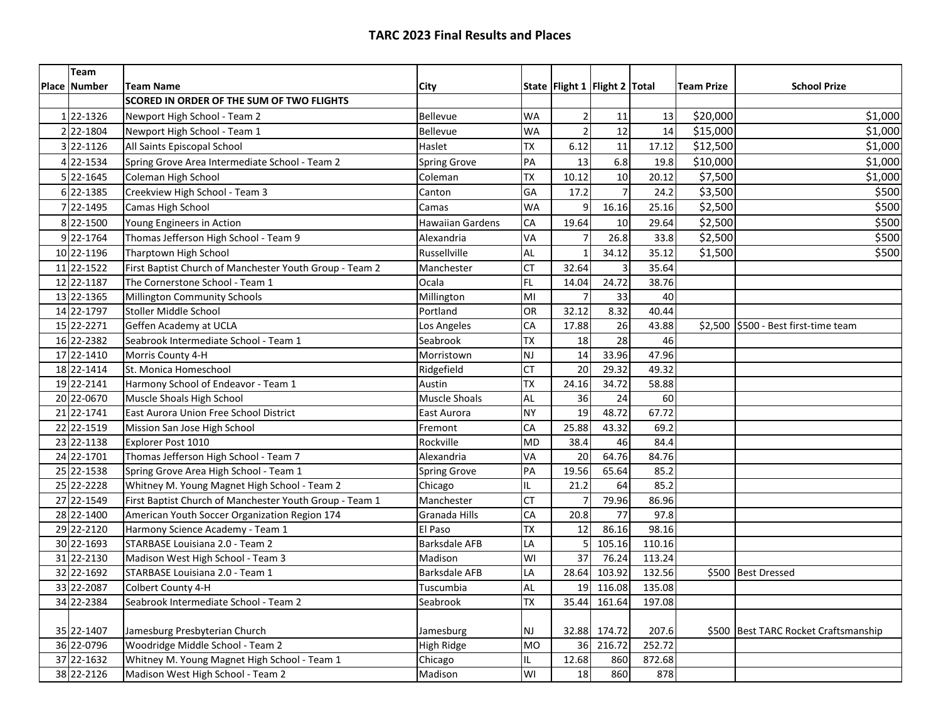| <b>Team</b>         |                                                         |                      |           |                               |                 |        |            |                                      |
|---------------------|---------------------------------------------------------|----------------------|-----------|-------------------------------|-----------------|--------|------------|--------------------------------------|
| <b>Place Number</b> | <b>Team Name</b>                                        | City                 |           | State Flight 1 Flight 2 Total |                 |        | Team Prize | <b>School Prize</b>                  |
|                     | SCORED IN ORDER OF THE SUM OF TWO FLIGHTS               |                      |           |                               |                 |        |            |                                      |
| 1 22-1326           | Newport High School - Team 2                            | <b>Bellevue</b>      | <b>WA</b> | $\overline{2}$                | 11              | 13     | \$20,000   | \$1,000                              |
| 2 22-1804           | Newport High School - Team 1                            | Bellevue             | WA        | $\overline{2}$                | $\overline{12}$ | 14     | \$15,000   | \$1,000                              |
| 3 22-1126           | All Saints Episcopal School                             | Haslet               | <b>TX</b> | 6.12                          | 11              | 17.12  | \$12,500   | \$1,000                              |
| 4 22-1534           | Spring Grove Area Intermediate School - Team 2          | <b>Spring Grove</b>  | PA        | 13                            | 6.8             | 19.8   | \$10,000   | \$1,000                              |
| 5 22-1645           | Coleman High School                                     | Coleman              | <b>TX</b> | 10.12                         | 10              | 20.12  | \$7,500    | \$1,000                              |
| 6 22-1385           | Creekview High School - Team 3                          | Canton               | GA        | 17.2                          | $\overline{7}$  | 24.2   | \$3,500    | \$500                                |
| 7 22-1495           | <b>Camas High School</b>                                | Camas                | <b>WA</b> | $\overline{9}$                | 16.16           | 25.16  | \$2,500    | \$500                                |
| 8 22-1500           | Young Engineers in Action                               | Hawaiian Gardens     | CA        | 19.64                         | 10              | 29.64  | \$2,500    | \$500                                |
| 9 22-1764           | Thomas Jefferson High School - Team 9                   | Alexandria           | VA        |                               | 26.8            | 33.8   | \$2,500    | \$500                                |
| 10 22-1196          | Tharptown High School                                   | Russellville         | AL        |                               | 34.12           | 35.12  | \$1,500    | \$500                                |
| 11 22-1522          | First Baptist Church of Manchester Youth Group - Team 2 | Manchester           | <b>CT</b> | 32.64                         | $\overline{3}$  | 35.64  |            |                                      |
| 12 22-1187          | The Cornerstone School - Team 1                         | Ocala                | FL.       | 14.04                         | 24.72           | 38.76  |            |                                      |
| 13 22-1365          | Millington Community Schools                            | Millington           | MI        | 7 <sup>1</sup>                | $\overline{33}$ | 40     |            |                                      |
| 14 22-1797          | Stoller Middle School                                   | Portland             | OR        | 32.12                         | 8.32            | 40.44  |            |                                      |
| 15 22-2271          | Geffen Academy at UCLA                                  | Los Angeles          | CA        | 17.88                         | 26              | 43.88  | \$2,500    | \$500 - Best first-time team         |
| 16 22-2382          | Seabrook Intermediate School - Team 1                   | Seabrook             | <b>TX</b> | 18                            | $\overline{28}$ | 46     |            |                                      |
| 17 22-1410          | Morris County 4-H                                       | Morristown           | <b>NJ</b> | 14                            | 33.96           | 47.96  |            |                                      |
| 18 22-1414          | St. Monica Homeschool                                   | Ridgefield           | CT        | 20                            | 29.32           | 49.32  |            |                                      |
| 19 22-2141          | Harmony School of Endeavor - Team 1                     | Austin               | <b>TX</b> | 24.16                         | 34.72           | 58.88  |            |                                      |
| 20 22-0670          | Muscle Shoals High School                               | <b>Muscle Shoals</b> | AL        | 36                            | 24              | 60     |            |                                      |
| 21 22-1741          | East Aurora Union Free School District                  | East Aurora          | <b>NY</b> | 19                            | 48.72           | 67.72  |            |                                      |
| 22 22 - 1519        | Mission San Jose High School                            | Fremont              | CA        | 25.88                         | 43.32           | 69.2   |            |                                      |
| 23 22-1138          | Explorer Post 1010                                      | Rockville            | <b>MD</b> | 38.4                          | 46              | 84.4   |            |                                      |
| 24 22-1701          | Thomas Jefferson High School - Team 7                   | Alexandria           | VA        | 20                            | 64.76           | 84.76  |            |                                      |
| 25 22-1538          | Spring Grove Area High School - Team 1                  | <b>Spring Grove</b>  | PA        | 19.56                         | 65.64           | 85.2   |            |                                      |
| 25 22-2228          | Whitney M. Young Magnet High School - Team 2            | Chicago              | IL        | 21.2                          | 64              | 85.2   |            |                                      |
| 27 22-1549          | First Baptist Church of Manchester Youth Group - Team 1 | Manchester           | <b>CT</b> | $\overline{7}$                | 79.96           | 86.96  |            |                                      |
| 28 22-1400          | American Youth Soccer Organization Region 174           | Granada Hills        | CA        | 20.8                          | 77              | 97.8   |            |                                      |
| 29 22-2120          | Harmony Science Academy - Team 1                        | El Paso              | <b>TX</b> | 12                            | 86.16           | 98.16  |            |                                      |
| 30 22-1693          | STARBASE Louisiana 2.0 - Team 2                         | <b>Barksdale AFB</b> | LA        | 5                             | 105.16          | 110.16 |            |                                      |
| 31 22-2130          | Madison West High School - Team 3                       | Madison              | WI        | $\overline{37}$               | 76.24           | 113.24 |            |                                      |
| 32 22-1692          | STARBASE Louisiana 2.0 - Team 1                         | <b>Barksdale AFB</b> | LA        | 28.64                         | 103.92          | 132.56 |            | \$500 Best Dressed                   |
| 33 22-2087          | Colbert County 4-H                                      | Tuscumbia            | <b>AL</b> | 19                            | 116.08          | 135.08 |            |                                      |
| 34 22-2384          | Seabrook Intermediate School - Team 2                   | Seabrook             | <b>TX</b> | 35.44                         | 161.64          | 197.08 |            |                                      |
| 35 22-1407          | Jamesburg Presbyterian Church                           | Jamesburg            | NJ        | 32.88                         | 174.72          | 207.6  |            | \$500 Best TARC Rocket Craftsmanship |
| 36 22-0796          | Woodridge Middle School - Team 2                        | High Ridge           | <b>MO</b> | 36                            | 216.72          | 252.72 |            |                                      |
| 37 22-1632          | Whitney M. Young Magnet High School - Team 1            | Chicago              | IL        | 12.68                         | 860             | 872.68 |            |                                      |
| 38 22-2126          | Madison West High School - Team 2                       | Madison              | WI        | 18                            | 860             | 878    |            |                                      |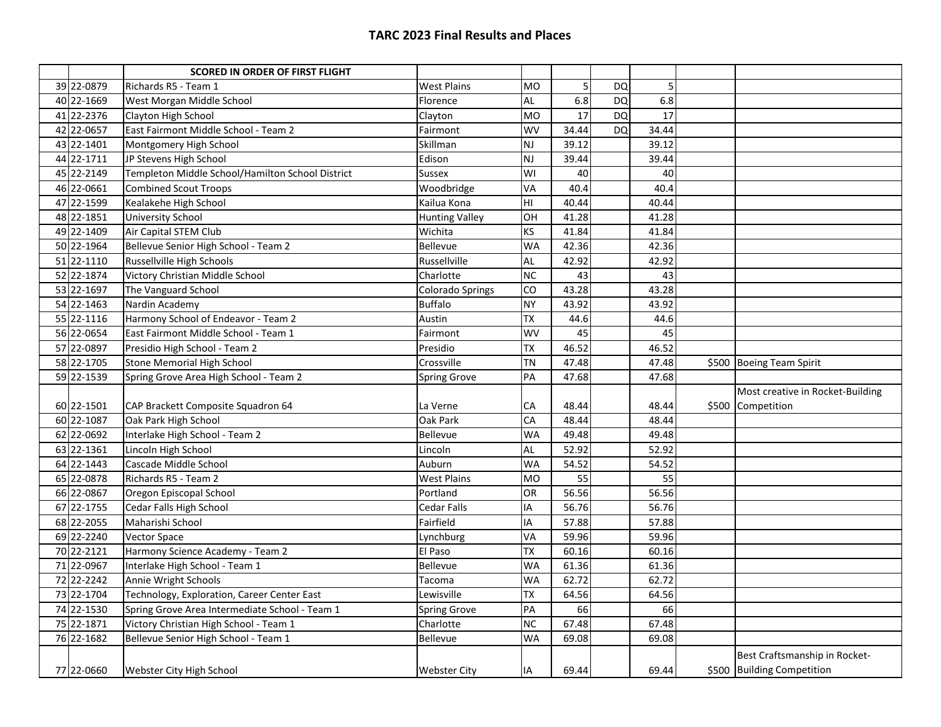## **TARC 2023 Final Results and Places**

|            | <b>SCORED IN ORDER OF FIRST FLIGHT</b>           |                         |                 |       |           |                    |                                  |
|------------|--------------------------------------------------|-------------------------|-----------------|-------|-----------|--------------------|----------------------------------|
| 39 22-0879 | Richards R5 - Team 1                             | <b>West Plains</b>      | <b>MO</b>       | 5     | DQ        | 5                  |                                  |
| 40 22-1669 | West Morgan Middle School                        | Florence                | <b>AL</b>       | 6.8   | DQ        | 6.8                |                                  |
| 41 22-2376 | Clayton High School                              | Clayton                 | <b>MO</b>       | 17    | DO        | 17                 |                                  |
| 42 22-0657 | East Fairmont Middle School - Team 2             | Fairmont                | WV              | 34.44 | <b>DQ</b> | 34.44              |                                  |
| 43 22-1401 | Montgomery High School                           | Skillman                | NJ              | 39.12 |           | 39.12              |                                  |
| 44 22-1711 | JP Stevens High School                           | Edison                  | NJ              | 39.44 |           | 39.44              |                                  |
| 45 22-2149 | Templeton Middle School/Hamilton School District | <b>Sussex</b>           | WI              | 40    |           | 40                 |                                  |
| 46 22-0661 | <b>Combined Scout Troops</b>                     | Woodbridge              | VA              | 40.4  |           | 40.4               |                                  |
| 47 22-1599 | Kealakehe High School                            | Kailua Kona             | ŀн              | 40.44 |           | 40.44              |                                  |
| 48 22-1851 | <b>University School</b>                         | <b>Hunting Valley</b>   | OH              | 41.28 |           | 41.28              |                                  |
| 49 22-1409 | <b>Air Capital STEM Club</b>                     | Wichita                 | KS              | 41.84 |           | 41.84              |                                  |
| 50 22-1964 | Bellevue Senior High School - Team 2             | Bellevue                | <b>WA</b>       | 42.36 |           | 42.36              |                                  |
| 51 22-1110 | Russellville High Schools                        | Russellville            | AL              | 42.92 |           | 42.92              |                                  |
| 52 22-1874 | Victory Christian Middle School                  | Charlotte               | <b>NC</b>       | 43    |           | 43                 |                                  |
| 53 22-1697 | The Vanguard School                              | <b>Colorado Springs</b> | CO              | 43.28 |           | 43.28              |                                  |
| 54 22-1463 | Nardin Academy                                   | <b>Buffalo</b>          | <b>NY</b>       | 43.92 |           | 43.92              |                                  |
| 55 22-1116 | Harmony School of Endeavor - Team 2              | Austin                  | $\overline{TX}$ | 44.6  |           | 44.6               |                                  |
| 56 22-0654 | East Fairmont Middle School - Team 1             | Fairmont                | <b>WV</b>       | 45    |           | 45                 |                                  |
| 57 22-0897 | Presidio High School - Team 2                    | Presidio                | <b>TX</b>       | 46.52 |           | 46.52              |                                  |
| 58 22-1705 | Stone Memorial High School                       | Crossville              | TN              | 47.48 |           | 47.48              | \$500 Boeing Team Spirit         |
| 59 22-1539 | Spring Grove Area High School - Team 2           | <b>Spring Grove</b>     | PA              | 47.68 |           | 47.68              |                                  |
|            |                                                  |                         |                 |       |           |                    | Most creative in Rocket-Building |
| 60 22-1501 | CAP Brackett Composite Squadron 64               | La Verne                | CA              | 48.44 |           | 48.44              | \$500 Competition                |
| 60 22-1087 | Oak Park High School                             | <b>Oak Park</b>         | CA              | 48.44 |           | 48.44              |                                  |
| 62 22-0692 | Interlake High School - Team 2                   | Bellevue                | <b>WA</b>       | 49.48 |           | 49.48              |                                  |
| 63 22-1361 | Lincoln High School                              | Lincoln                 | AL.             | 52.92 |           | 52.92              |                                  |
| 64 22-1443 | Cascade Middle School                            | Auburn                  | <b>WA</b>       | 54.52 |           | 54.52              |                                  |
| 65 22-0878 | Richards R5 - Team 2                             | <b>West Plains</b>      | <b>MO</b>       | 55    |           | 55                 |                                  |
| 66 22-0867 | Oregon Episcopal School                          | Portland                | OR              | 56.56 |           | 56.56              |                                  |
| 67 22-1755 | Cedar Falls High School                          | <b>Cedar Falls</b>      | IA              | 56.76 |           | 56.76              |                                  |
| 68 22-2055 | Maharishi School                                 | Fairfield               | IA              | 57.88 |           | 57.88              |                                  |
| 69 22-2240 | <b>Vector Space</b>                              | Lynchburg               | VA              | 59.96 |           | 59.96              |                                  |
| 70 22-2121 | Harmony Science Academy - Team 2                 | El Paso                 | <b>TX</b>       | 60.16 |           | 60.16              |                                  |
| 71 22-0967 | Interlake High School - Team 1                   | Bellevue                | <b>WA</b>       | 61.36 |           | 61.36              |                                  |
| 72 22-2242 | Annie Wright Schools                             | Tacoma                  | <b>WA</b>       | 62.72 |           | 62.72              |                                  |
| 73 22-1704 | Technology, Exploration, Career Center East      | Lewisville              | <b>TX</b>       | 64.56 |           | 64.56              |                                  |
| 74 22-1530 | Spring Grove Area Intermediate School - Team 1   | <b>Spring Grove</b>     | PA              | 66    |           | 66                 |                                  |
| 75 22-1871 | Victory Christian High School - Team 1           | Charlotte               | <b>NC</b>       | 67.48 |           | $\overline{67.48}$ |                                  |
| 76 22-1682 | Bellevue Senior High School - Team 1             | Bellevue                | <b>WA</b>       | 69.08 |           | 69.08              |                                  |
|            |                                                  |                         |                 |       |           |                    | Best Craftsmanship in Rocket-    |
| 77 22-0660 | Webster City High School                         | <b>Webster City</b>     | IA              | 69.44 |           | 69.44              | \$500 Building Competition       |